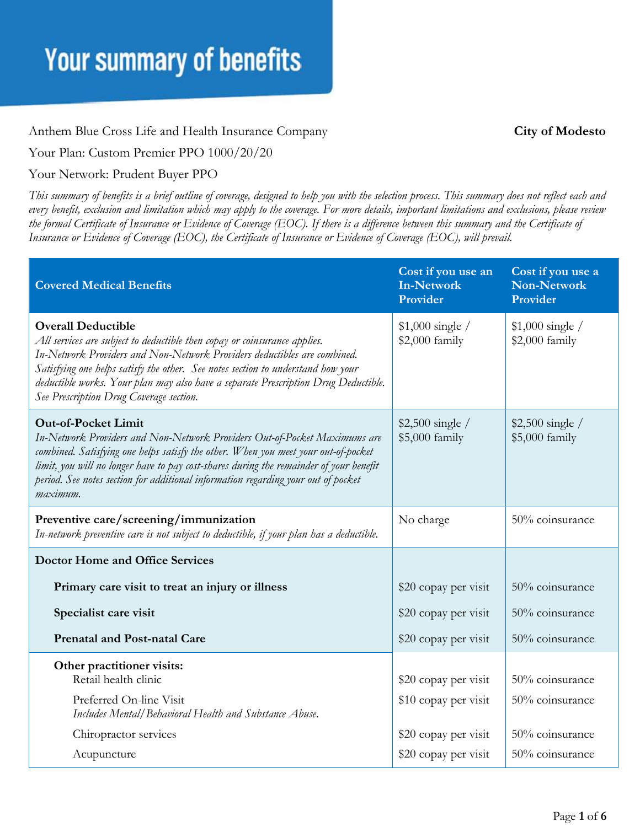#### Anthem Blue Cross Life and Health Insurance Company **City of Modesto**

Your Plan: Custom Premier PPO 1000/20/20

#### Your Network: Prudent Buyer PPO

*This summary of benefits is a brief outline of coverage, designed to help you with the selection process. This summary does not reflect each and every benefit, exclusion and limitation which may apply to the coverage. For more details, important limitations and exclusions, please review the formal Certificate of Insurance or Evidence of Coverage (EOC). If there is a difference between this summary and the Certificate of Insurance or Evidence of Coverage (EOC), the Certificate of Insurance or Evidence of Coverage (EOC), will prevail.*

| <b>Covered Medical Benefits</b>                                                                                                                                                                                                                                                                                                                                                                         | Cost if you use an<br><b>In-Network</b><br>Provider | Cost if you use a<br><b>Non-Network</b><br>Provider |
|---------------------------------------------------------------------------------------------------------------------------------------------------------------------------------------------------------------------------------------------------------------------------------------------------------------------------------------------------------------------------------------------------------|-----------------------------------------------------|-----------------------------------------------------|
| <b>Overall Deductible</b><br>All services are subject to deductible then copay or coinsurance applies.<br>In-Network Providers and Non-Network Providers deductibles are combined.<br>Satisfying one helps satisfy the other. See notes section to understand how your<br>deductible works. Your plan may also have a separate Prescription Drug Deductible.<br>See Prescription Drug Coverage section. | $$1,000$ single /<br>\$2,000 family                 | $$1,000$ single /<br>\$2,000 family                 |
| <b>Out-of-Pocket Limit</b><br>In-Network Providers and Non-Network Providers Out-of-Pocket Maximums are<br>combined. Satisfying one helps satisfy the other. When you meet your out-of-pocket<br>limit, you will no longer have to pay cost-shares during the remainder of your benefit<br>period. See notes section for additional information regarding your out of pocket<br>maximum.                | $$2,500$ single /<br>\$5,000 family                 | $$2,500$ single /<br>\$5,000 family                 |
| Preventive care/screening/immunization<br>In-network preventive care is not subject to deductible, if your plan has a deductible.                                                                                                                                                                                                                                                                       | No charge                                           | 50% coinsurance                                     |
| <b>Doctor Home and Office Services</b>                                                                                                                                                                                                                                                                                                                                                                  |                                                     |                                                     |
| Primary care visit to treat an injury or illness                                                                                                                                                                                                                                                                                                                                                        | \$20 copay per visit                                | 50% coinsurance                                     |
| Specialist care visit                                                                                                                                                                                                                                                                                                                                                                                   | \$20 copay per visit                                | 50% coinsurance                                     |
| <b>Prenatal and Post-natal Care</b>                                                                                                                                                                                                                                                                                                                                                                     | \$20 copay per visit                                | 50% coinsurance                                     |
| Other practitioner visits:<br>Retail health clinic<br>Preferred On-line Visit<br>Includes Mental/Behavioral Health and Substance Abuse.                                                                                                                                                                                                                                                                 | \$20 copay per visit<br>\$10 copay per visit        | 50% coinsurance<br>50% coinsurance                  |
| Chiropractor services                                                                                                                                                                                                                                                                                                                                                                                   | \$20 copay per visit                                | 50% coinsurance                                     |
| Acupuncture                                                                                                                                                                                                                                                                                                                                                                                             | \$20 copay per visit                                | 50% coinsurance                                     |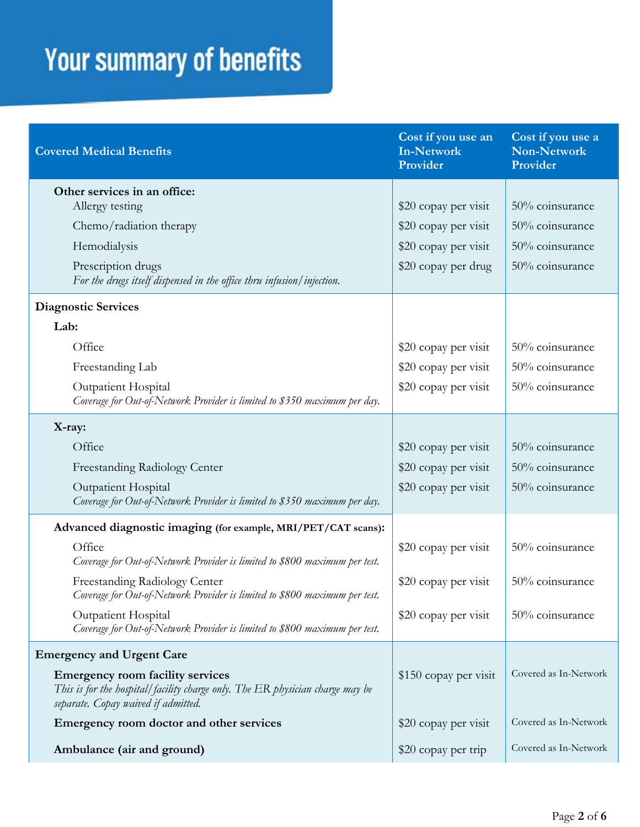| <b>Covered Medical Benefits</b>                                                                                                                                 | Cost if you use an<br>In-Network<br>Provider | Cost if you use a<br>Non-Network<br>Provider |
|-----------------------------------------------------------------------------------------------------------------------------------------------------------------|----------------------------------------------|----------------------------------------------|
| Other services in an office:<br>Allergy testing                                                                                                                 | \$20 copay per visit                         | 50% coinsurance                              |
| Chemo/radiation therapy                                                                                                                                         | \$20 copay per visit                         | 50% coinsurance                              |
| Hemodialysis                                                                                                                                                    | \$20 copay per visit                         | 50% coinsurance                              |
| Prescription drugs<br>For the drugs itself dispensed in the office thru infusion/injection.                                                                     | \$20 copay per drug                          | 50% coinsurance                              |
| <b>Diagnostic Services</b>                                                                                                                                      |                                              |                                              |
| Lab:                                                                                                                                                            |                                              |                                              |
| Office                                                                                                                                                          | \$20 copay per visit                         | 50% coinsurance                              |
| Freestanding Lab                                                                                                                                                | \$20 copay per visit                         | 50% coinsurance                              |
| Outpatient Hospital<br>Coverage for Out-of-Network Provider is limited to \$350 maximum per day.                                                                | \$20 copay per visit                         | 50% coinsurance                              |
| X-ray:                                                                                                                                                          |                                              |                                              |
| Office                                                                                                                                                          | \$20 copay per visit                         | 50% coinsurance                              |
| Freestanding Radiology Center                                                                                                                                   | \$20 copay per visit                         | 50% coinsurance                              |
| <b>Outpatient Hospital</b><br>Coverage for Out-of-Network Provider is limited to \$350 maximum per day.                                                         | \$20 copay per visit                         | 50% coinsurance                              |
| Advanced diagnostic imaging (for example, MRI/PET/CAT scans):                                                                                                   |                                              |                                              |
| Office<br>Coverage for Out-of-Network Provider is limited to \$800 maximum per test.                                                                            | \$20 copay per visit                         | 50% coinsurance                              |
| Freestanding Radiology Center<br>Coverage for Out-of-Network Provider is limited to \$800 maximum per test.                                                     | \$20 copay per visit                         | 50% coinsurance                              |
| Outpatient Hospital<br>Coverage for Out-of-Network Provider is limited to \$800 maximum per test.                                                               | \$20 copay per visit                         | 50% coinsurance                              |
| <b>Emergency and Urgent Care</b>                                                                                                                                |                                              |                                              |
| <b>Emergency room facility services</b><br>This is for the hospital/facility charge only. The ER physician charge may be<br>separate. Copay waived if admitted. | \$150 copay per visit                        | Covered as In-Network                        |
| Emergency room doctor and other services                                                                                                                        | \$20 copay per visit                         | Covered as In-Network                        |
| Ambulance (air and ground)                                                                                                                                      | \$20 copay per trip                          | Covered as In-Network                        |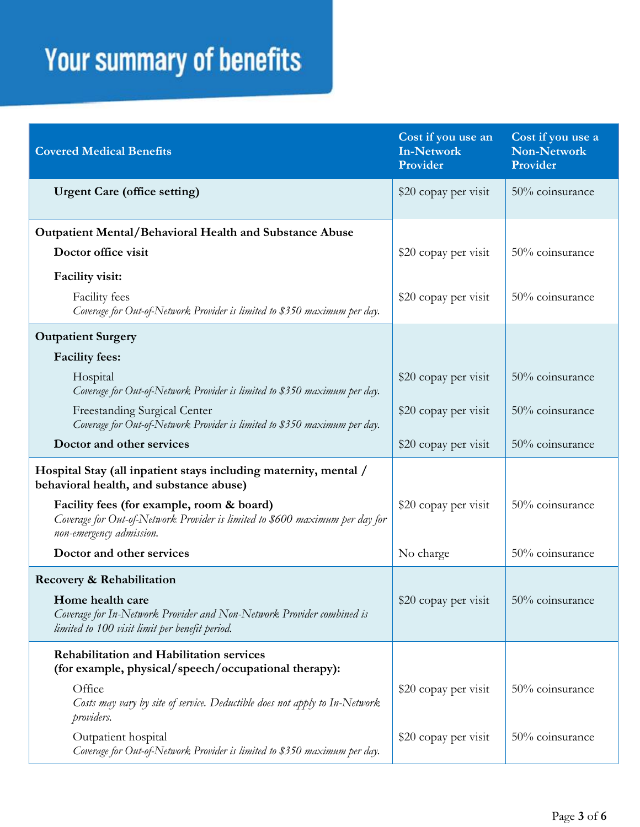| <b>Covered Medical Benefits</b>                                                                                                                                          | Cost if you use an<br>In-Network<br>Provider | Cost if you use a<br><b>Non-Network</b><br>Provider |
|--------------------------------------------------------------------------------------------------------------------------------------------------------------------------|----------------------------------------------|-----------------------------------------------------|
| <b>Urgent Care (office setting)</b>                                                                                                                                      | \$20 copay per visit                         | 50% coinsurance                                     |
| <b>Outpatient Mental/Behavioral Health and Substance Abuse</b>                                                                                                           |                                              |                                                     |
| Doctor office visit                                                                                                                                                      | \$20 copay per visit                         | 50% coinsurance                                     |
| Facility visit:                                                                                                                                                          |                                              |                                                     |
| Facility fees<br>Coverage for Out-of-Network Provider is limited to \$350 maximum per day.                                                                               | \$20 copay per visit                         | 50% coinsurance                                     |
| <b>Outpatient Surgery</b>                                                                                                                                                |                                              |                                                     |
| <b>Facility fees:</b>                                                                                                                                                    |                                              |                                                     |
| Hospital<br>Coverage for Out-of-Network Provider is limited to \$350 maximum per day.                                                                                    | \$20 copay per visit                         | 50% coinsurance                                     |
| <b>Freestanding Surgical Center</b><br>Coverage for Out-of-Network Provider is limited to \$350 maximum per day.                                                         | \$20 copay per visit                         | 50% coinsurance                                     |
| Doctor and other services                                                                                                                                                | \$20 copay per visit                         | 50% coinsurance                                     |
| Hospital Stay (all inpatient stays including maternity, mental /<br>behavioral health, and substance abuse)                                                              |                                              |                                                     |
| Facility fees (for example, room & board)<br>Coverage for Out-of-Network Provider is limited to \$600 maximum per day for<br>non-emergency admission.                    | \$20 copay per visit                         | 50% coinsurance                                     |
| Doctor and other services                                                                                                                                                | No charge                                    | 50% coinsurance                                     |
| Recovery & Rehabilitation<br>Home health care<br>Coverage for In-Network Provider and Non-Network Provider combined is<br>limited to 100 visit limit per benefit period. | \$20 copay per visit                         | 50% coinsurance                                     |
| <b>Rehabilitation and Habilitation services</b><br>(for example, physical/speech/occupational therapy):                                                                  |                                              |                                                     |
| Office<br>Costs may vary by site of service. Deductible does not apply to In-Network<br>providers.                                                                       | \$20 copay per visit                         | 50% coinsurance                                     |
| Outpatient hospital<br>Coverage for Out-of-Network Provider is limited to \$350 maximum per day.                                                                         | \$20 copay per visit                         | 50% coinsurance                                     |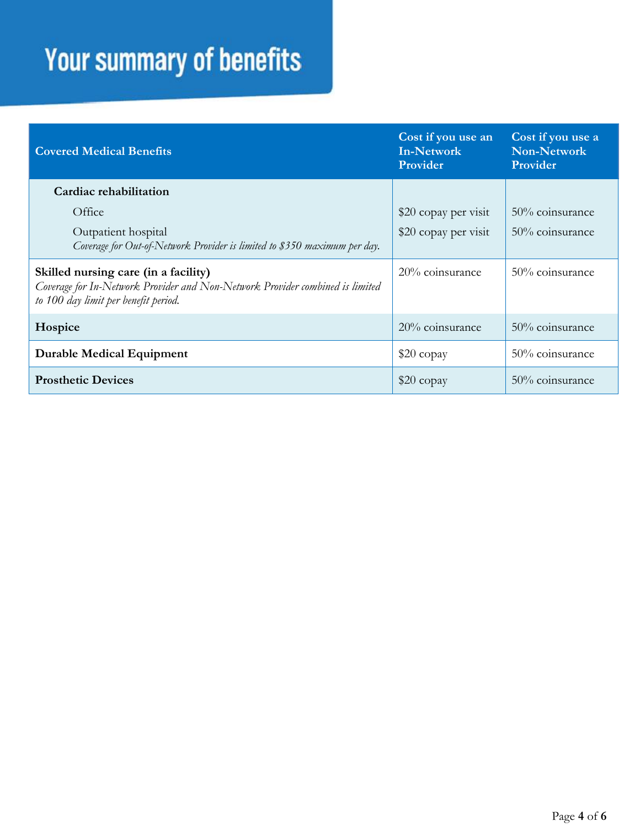| <b>Covered Medical Benefits</b>                                                                                                                               | Cost if you use an<br>In-Network<br>Provider | Cost if you use a<br>Non-Network<br>Provider |
|---------------------------------------------------------------------------------------------------------------------------------------------------------------|----------------------------------------------|----------------------------------------------|
| Cardiac rehabilitation                                                                                                                                        |                                              |                                              |
| Office                                                                                                                                                        | \$20 copay per visit                         | $50\%$ coinsurance                           |
| Outpatient hospital<br>Coverage for Out-of-Network Provider is limited to \$350 maximum per day.                                                              | \$20 copay per visit                         | $50\%$ coinsurance                           |
| Skilled nursing care (in a facility)<br>Coverage for In-Network Provider and Non-Network Provider combined is limited<br>to 100 day limit per benefit period. | 20% coinsurance                              | 50% coinsurance                              |
| Hospice                                                                                                                                                       | $20\%$ coinsurance                           | 50% coinsurance                              |
| <b>Durable Medical Equipment</b>                                                                                                                              | \$20 copay                                   | 50% coinsurance                              |
| <b>Prosthetic Devices</b>                                                                                                                                     | $$20$ copay                                  | $50\%$ coinsurance                           |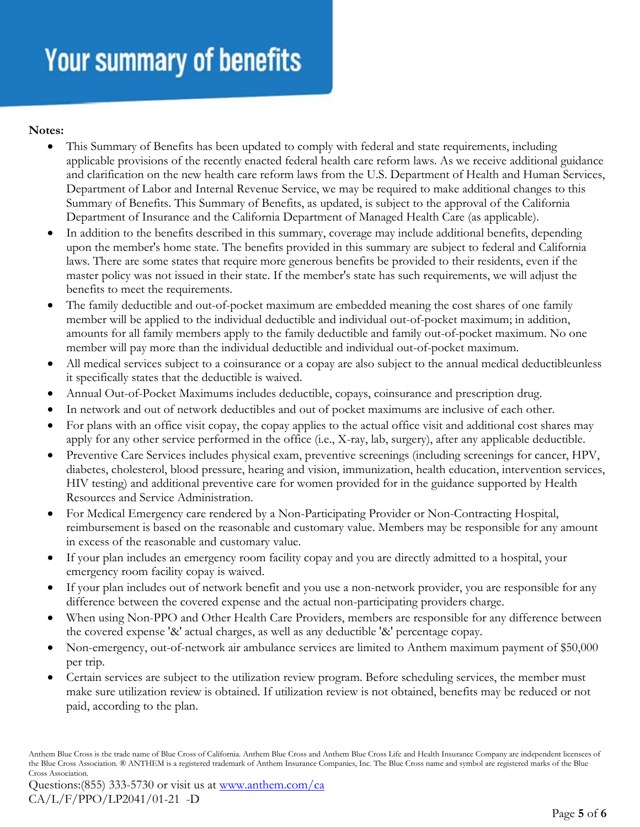**Notes:** 

- This Summary of Benefits has been updated to comply with federal and state requirements, including applicable provisions of the recently enacted federal health care reform laws. As we receive additional guidance and clarification on the new health care reform laws from the U.S. Department of Health and Human Services, Department of Labor and Internal Revenue Service, we may be required to make additional changes to this Summary of Benefits. This Summary of Benefits, as updated, is subject to the approval of the California Department of Insurance and the California Department of Managed Health Care (as applicable).
- In addition to the benefits described in this summary, coverage may include additional benefits, depending upon the member's home state. The benefits provided in this summary are subject to federal and California laws. There are some states that require more generous benefits be provided to their residents, even if the master policy was not issued in their state. If the member's state has such requirements, we will adjust the benefits to meet the requirements.
- The family deductible and out-of-pocket maximum are embedded meaning the cost shares of one family member will be applied to the individual deductible and individual out-of-pocket maximum; in addition, amounts for all family members apply to the family deductible and family out-of-pocket maximum. No one member will pay more than the individual deductible and individual out-of-pocket maximum.
- All medical services subject to a coinsurance or a copay are also subject to the annual medical deductibleunless it specifically states that the deductible is waived.
- Annual Out-of-Pocket Maximums includes deductible, copays, coinsurance and prescription drug.
- In network and out of network deductibles and out of pocket maximums are inclusive of each other.
- For plans with an office visit copay, the copay applies to the actual office visit and additional cost shares may apply for any other service performed in the office (i.e., X-ray, lab, surgery), after any applicable deductible.
- Preventive Care Services includes physical exam, preventive screenings (including screenings for cancer, HPV, diabetes, cholesterol, blood pressure, hearing and vision, immunization, health education, intervention services, HIV testing) and additional preventive care for women provided for in the guidance supported by Health Resources and Service Administration.
- For Medical Emergency care rendered by a Non-Participating Provider or Non-Contracting Hospital, reimbursement is based on the reasonable and customary value. Members may be responsible for any amount in excess of the reasonable and customary value.
- If your plan includes an emergency room facility copay and you are directly admitted to a hospital, your emergency room facility copay is waived.
- If your plan includes out of network benefit and you use a non-network provider, you are responsible for any difference between the covered expense and the actual non-participating providers charge.
- When using Non-PPO and Other Health Care Providers, members are responsible for any difference between the covered expense '&' actual charges, as well as any deductible '&' percentage copay.
- Non-emergency, out-of-network air ambulance services are limited to Anthem maximum payment of \$50,000 per trip.
- Certain services are subject to the utilization review program. Before scheduling services, the member must make sure utilization review is obtained. If utilization review is not obtained, benefits may be reduced or not paid, according to the plan.

Anthem Blue Cross is the trade name of Blue Cross of California. Anthem Blue Cross and Anthem Blue Cross Life and Health Insurance Company are independent licensees of the Blue Cross Association. ® ANTHEM is a registered trademark of Anthem Insurance Companies, Inc. The Blue Cross name and symbol are registered marks of the Blue Cross Association.